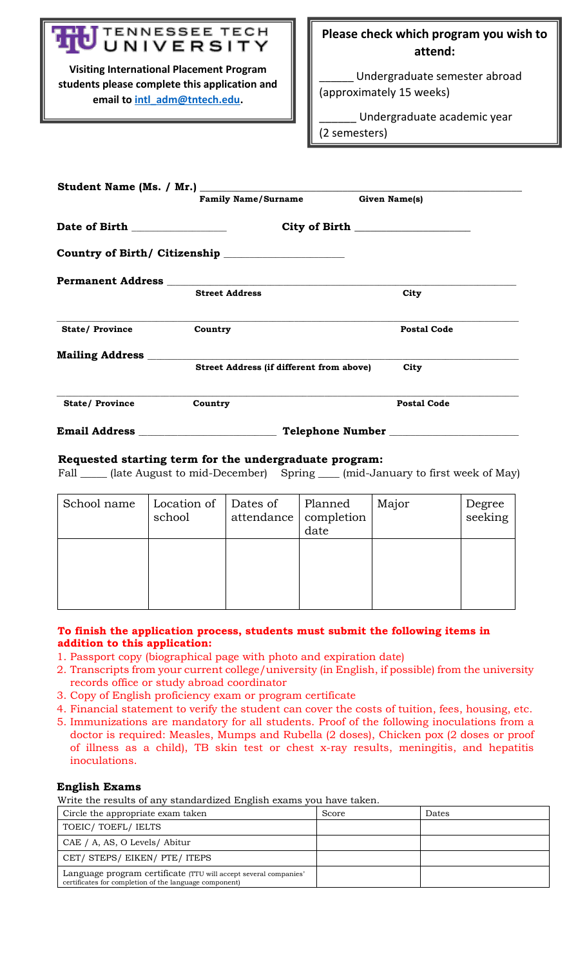# TENNESSEE TECH UNIVERSITY

**Visiting International Placement Program students please complete this application and email to [intl\\_adm@tntech.edu.](mailto:intl_adm@tntech.edu)**

# **Please check which program you wish to attend:**

Undergraduate semester abroad (approximately 15 weeks)

\_\_\_\_\_\_ Undergraduate academic year (2 semesters)

|                                | <b>Family Name/Surname</b>               | Given Name(s)      |
|--------------------------------|------------------------------------------|--------------------|
| Date of Birth ________________ |                                          |                    |
|                                |                                          |                    |
|                                |                                          |                    |
|                                | <b>Street Address</b>                    | City               |
| <b>State/Province</b>          | Country                                  | <b>Postal Code</b> |
|                                |                                          |                    |
|                                | Street Address (if different from above) | City               |
| <b>State/Province</b>          | Country                                  | <b>Postal Code</b> |
| <b>Email Address</b>           |                                          | Telephone Number   |

# **Requested starting term for the undergraduate program:**

Fall \_\_\_\_\_\_ (late August to mid-December) Spring \_\_\_\_\_ (mid-January to first week of May)

| School name | Location of<br>school | Dates of<br>attendance   completion | Planned<br>date | Major | Degree<br>seeking |
|-------------|-----------------------|-------------------------------------|-----------------|-------|-------------------|
|             |                       |                                     |                 |       |                   |

# **To finish the application process, students must submit the following items in addition to this application:**

- 1. Passport copy (biographical page with photo and expiration date)
- 2. Transcripts from your current college/university (in English, if possible) from the university records office or study abroad coordinator
- 3. Copy of English proficiency exam or program certificate
- 4. Financial statement to verify the student can cover the costs of tuition, fees, housing, etc.
- 5. Immunizations are mandatory for all students. Proof of the following inoculations from a doctor is required: Measles, Mumps and Rubella (2 doses), Chicken pox (2 doses or proof of illness as a child), TB skin test or chest x-ray results, meningitis, and hepatitis inoculations.

# **English Exams**

Write the results of any standardized English exams you have taken.

| Circle the appropriate exam taken                                                                                          | Score | Dates |
|----------------------------------------------------------------------------------------------------------------------------|-------|-------|
| TOEIC/TOEFL/IELTS                                                                                                          |       |       |
| CAE / A, AS, O Levels/ Abitur                                                                                              |       |       |
| CET/ STEPS/ EIKEN/ PTE/ ITEPS                                                                                              |       |       |
| Language program certificate (TTU will accept several companies'<br>certificates for completion of the language component) |       |       |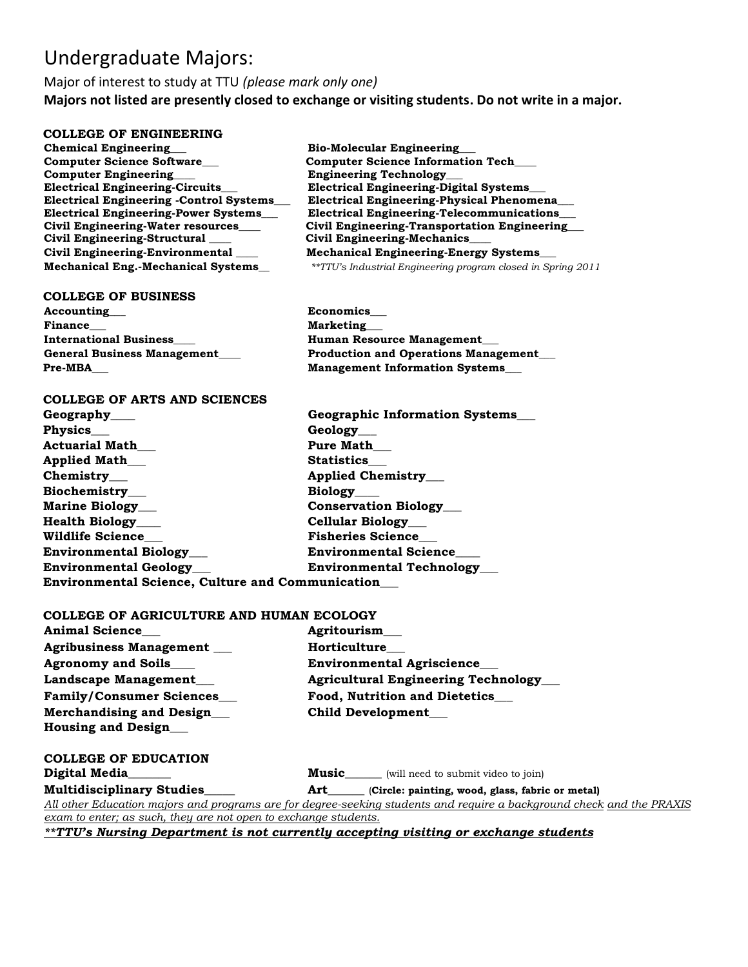# Undergraduate Majors:

Major of interest to study at TTU *(please mark only one)*  **Majors not listed are presently closed to exchange or visiting students. Do not write in a major.**

## **COLLEGE OF ENGINEERING**

**Chemical Engineering\_\_\_ Bio-Molecular Engineering\_\_\_ Computer Science Software\_\_\_ Computer Science Information Tech\_\_\_ Computer Engineering\_\_\_\_ Engineering Technology\_\_\_ Electrical Engineering-Circuits\_\_\_ Electrical Engineering-Digital Systems\_\_\_ Civil Engineering-Structural \_\_\_\_ Civil Engineering-Mechanics\_\_\_\_** 

#### **COLLEGE OF BUSINESS**

Accounting **Economics** Finance **Marketing International Business\_\_\_\_ https://www.filternational Business\_\_\_\_ Human Resource Management\_\_\_** 

## **COLLEGE OF ARTS AND SCIENCES**

**Geography\_\_\_\_ Geographic Information Systems\_\_\_**  Physics\_\_\_ Geology\_\_\_ Actuarial Math **Pure Math** Applied Math Statistics **Chemistry\_\_\_ Chemistry\_\_\_ Applied Chemistry\_\_\_ Biochemistry\_\_\_ Biology\_\_\_\_ Marine Biology** \_ **Conservation Biology Health Biology\_\_\_\_ Cellular Biology\_\_\_ Wildlife Science\_\_\_ Fisheries Science\_\_\_ Environmental Biology\_\_\_ Environmental Science\_\_\_\_ Environmental Geology\_\_\_ Environmental Technology\_\_\_ Environmental Science, Culture and Communication\_\_\_** 

## **COLLEGE OF AGRICULTURE AND HUMAN ECOLOGY**

| Animal Science___                                               | <b>Agritourism</b>                                                                                                                                                                                                                 |  |
|-----------------------------------------------------------------|------------------------------------------------------------------------------------------------------------------------------------------------------------------------------------------------------------------------------------|--|
| Agribusiness Management __                                      | <b>Horticulture</b>                                                                                                                                                                                                                |  |
| <b>Agronomy and Soils____</b>                                   | <b>Environmental Agriscience</b>                                                                                                                                                                                                   |  |
| Landscape Management___                                         | <b>Agricultural Engineering Technology</b>                                                                                                                                                                                         |  |
| <b>Family/Consumer Sciences___</b>                              | <b>Food, Nutrition and Dietetics</b>                                                                                                                                                                                               |  |
| <b>Merchandising and Design</b><br><b>Housing and Design___</b> | Child Development____                                                                                                                                                                                                              |  |
| <b>COLLEGE OF EDUCATION</b>                                     |                                                                                                                                                                                                                                    |  |
| Digital Media______                                             | <b>Music_____</b> (will need to submit video to join)                                                                                                                                                                              |  |
| ----------------                                                | <b>A</b> a contract the contract of the contract of the contract of the contract of the contract of the contract of the contract of the contract of the contract of the contract of the contract of the contract of the contract o |  |

**Multidisciplinary Studies\_\_\_\_\_ Art\_\_\_\_\_\_** (**Circle: painting, wood, glass, fabric or metal)** *All other Education majors and programs are for degree-seeking students and require a background check and the PRAXIS exam to enter; as such, they are not open to exchange students.*

*\*\*TTU's Nursing Department is not currently accepting visiting or exchange students*

Electrical Engineering -Control Systems\_\_\_ Electrical Engineering-Physical Phenomena\_\_<br>Electrical Engineering-Power Systems\_\_ Pelectrical Engineering-Telecommunications **Electrical Engineering-Telecommunications Civil Engineering-Water resources\_\_\_\_ Civil Engineering-Transportation Engineering\_\_\_ Civil Engineering-Environmental \_\_\_\_ Mechanical Engineering-Energy Systems\_\_\_ Mechanical Eng.-Mechanical Systems\_\_** *\*\*TTU's Industrial Engineering program closed in Spring 2011*

**General Business Management\_\_\_\_ Production and Operations Management\_\_\_ Pre-MBA\_\_\_ Management Information Systems\_\_\_**